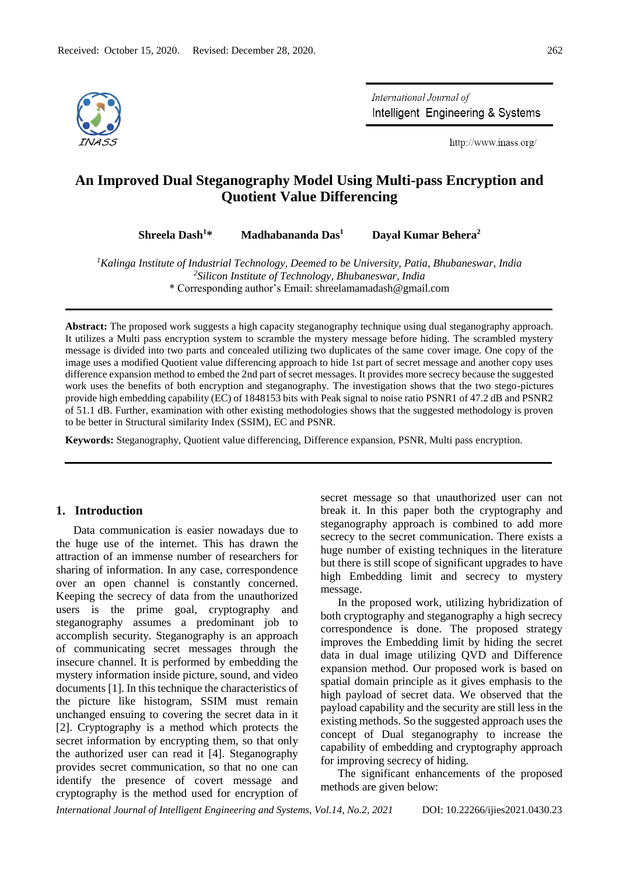

International Journal of Intelligent Engineering & Systems

http://www.inass.org/

# **An Improved Dual Steganography Model Using Multi-pass Encryption and Quotient Value Differencing**

**Shreela Dash<sup>1</sup>\* Madhabananda Das<sup>1</sup> Dayal Kumar Behera<sup>2</sup>**

*<sup>1</sup>Kalinga Institute of Industrial Technology, Deemed to be University, Patia, Bhubaneswar, India 2 Silicon Institute of Technology, Bhubaneswar, India* \* Corresponding author's Email: shreelamamadash@gmail.com

**Abstract:** The proposed work suggests a high capacity steganography technique using dual steganography approach. It utilizes a Multi pass encryption system to scramble the mystery message before hiding. The scrambled mystery message is divided into two parts and concealed utilizing two duplicates of the same cover image. One copy of the image uses a modified Quotient value differencing approach to hide 1st part of secret message and another copy uses difference expansion method to embed the 2nd part of secret messages. It provides more secrecy because the suggested work uses the benefits of both encryption and steganography. The investigation shows that the two stego-pictures provide high embedding capability (EC) of 1848153 bits with Peak signal to noise ratio PSNR1 of 47.2 dB and PSNR2 of 51.1 dB. Further, examination with other existing methodologies shows that the suggested methodology is proven to be better in Structural similarity Index (SSIM), EC and PSNR.

**Keywords:** Steganography, Quotient value differencing, Difference expansion, PSNR, Multi pass encryption.

# **1. Introduction**

Data communication is easier nowadays due to the huge use of the internet. This has drawn the attraction of an immense number of researchers for sharing of information. In any case, correspondence over an open channel is constantly concerned. Keeping the secrecy of data from the unauthorized users is the prime goal, cryptography and steganography assumes a predominant job to accomplish security. Steganography is an approach of communicating secret messages through the insecure channel. It is performed by embedding the mystery information inside picture, sound, and video documents [1]. In this technique the characteristics of the picture like histogram, SSIM must remain unchanged ensuing to covering the secret data in it [2]. Cryptography is a method which protects the secret information by encrypting them, so that only the authorized user can read it [4]. Steganography provides secret communication, so that no one can identify the presence of covert message and cryptography is the method used for encryption of secret message so that unauthorized user can not break it. In this paper both the cryptography and steganography approach is combined to add more secrecy to the secret communication. There exists a huge number of existing techniques in the literature but there is still scope of significant upgrades to have high Embedding limit and secrecy to mystery message.

In the proposed work, utilizing hybridization of both cryptography and steganography a high secrecy correspondence is done. The proposed strategy improves the Embedding limit by hiding the secret data in dual image utilizing QVD and Difference expansion method. Our proposed work is based on spatial domain principle as it gives emphasis to the high payload of secret data. We observed that the payload capability and the security are still less in the existing methods. So the suggested approach uses the concept of Dual steganography to increase the capability of embedding and cryptography approach for improving secrecy of hiding.

The significant enhancements of the proposed methods are given below:

*International Journal of Intelligent Engineering and Systems, Vol.14, No.2, 2021* DOI: 10.22266/ijies2021.0430.23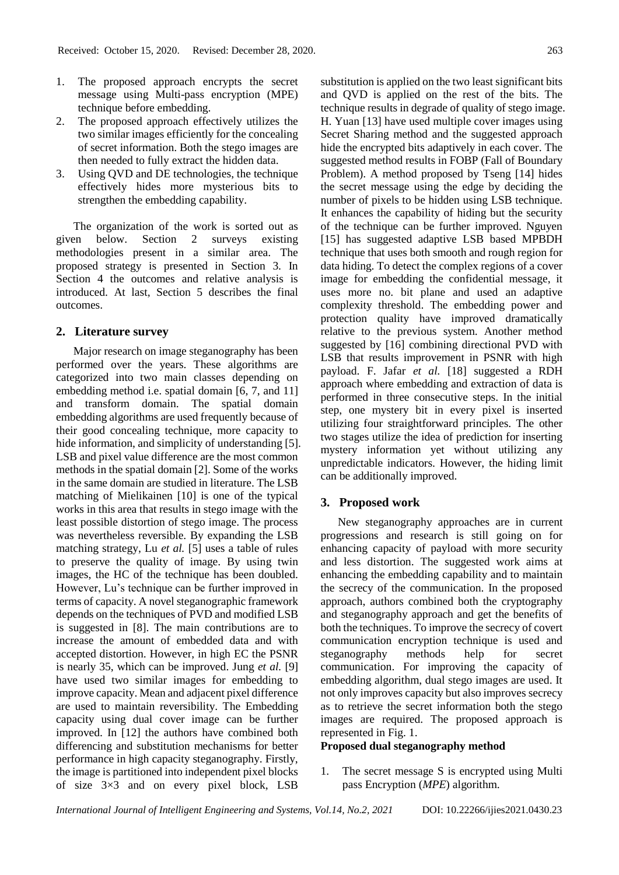- 1. The proposed approach encrypts the secret message using Multi-pass encryption (MPE) technique before embedding.
- 2. The proposed approach effectively utilizes the two similar images efficiently for the concealing of secret information. Both the stego images are then needed to fully extract the hidden data.
- 3. Using QVD and DE technologies, the technique effectively hides more mysterious bits to strengthen the embedding capability.

The organization of the work is sorted out as given below. Section 2 surveys existing methodologies present in a similar area. The proposed strategy is presented in Section 3. In Section 4 the outcomes and relative analysis is introduced. At last, Section 5 describes the final outcomes.

# **2. Literature survey**

Major research on image steganography has been performed over the years. These algorithms are categorized into two main classes depending on embedding method i.e. spatial domain [6, 7, and 11] and transform domain. The spatial domain embedding algorithms are used frequently because of their good concealing technique, more capacity to hide information, and simplicity of understanding [5]. LSB and pixel value difference are the most common methods in the spatial domain [2]. Some of the works in the same domain are studied in literature. The LSB matching of Mielikainen [10] is one of the typical works in this area that results in stego image with the least possible distortion of stego image. The process was nevertheless reversible. By expanding the LSB matching strategy, Lu *et al.* [5] uses a table of rules to preserve the quality of image. By using twin images, the HC of the technique has been doubled. However, Lu's technique can be further improved in terms of capacity. A novel steganographic framework depends on the techniques of PVD and modified LSB is suggested in [8]. The main contributions are to increase the amount of embedded data and with accepted distortion. However, in high EC the PSNR is nearly 35, which can be improved. Jung *et al.* [9] have used two similar images for embedding to improve capacity. Mean and adjacent pixel difference are used to maintain reversibility. The Embedding capacity using dual cover image can be further improved. In [12] the authors have combined both differencing and substitution mechanisms for better performance in high capacity steganography. Firstly, the image is partitioned into independent pixel blocks of size 3×3 and on every pixel block, LSB

substitution is applied on the two least significant bits and QVD is applied on the rest of the bits. The technique results in degrade of quality of stego image. H. Yuan [13] have used multiple cover images using Secret Sharing method and the suggested approach hide the encrypted bits adaptively in each cover. The suggested method results in FOBP (Fall of Boundary Problem). A method proposed by Tseng [14] hides the secret message using the edge by deciding the number of pixels to be hidden using LSB technique. It enhances the capability of hiding but the security of the technique can be further improved. Nguyen [15] has suggested adaptive LSB based MPBDH technique that uses both smooth and rough region for data hiding. To detect the complex regions of a cover image for embedding the confidential message, it uses more no. bit plane and used an adaptive complexity threshold. The embedding power and protection quality have improved dramatically relative to the previous system. Another method suggested by [16] combining directional PVD with LSB that results improvement in PSNR with high payload. F. Jafar *et al.* [18] suggested a RDH approach where embedding and extraction of data is performed in three consecutive steps. In the initial step, one mystery bit in every pixel is inserted utilizing four straightforward principles. The other two stages utilize the idea of prediction for inserting mystery information yet without utilizing any unpredictable indicators. However, the hiding limit can be additionally improved.

# **3. Proposed work**

New steganography approaches are in current progressions and research is still going on for enhancing capacity of payload with more security and less distortion. The suggested work aims at enhancing the embedding capability and to maintain the secrecy of the communication. In the proposed approach, authors combined both the cryptography and steganography approach and get the benefits of both the techniques. To improve the secrecy of covert communication encryption technique is used and steganography methods help for secret communication. For improving the capacity of embedding algorithm, dual stego images are used. It not only improves capacity but also improves secrecy as to retrieve the secret information both the stego images are required. The proposed approach is represented in Fig. 1.

## **Proposed dual steganography method**

1. The secret message S is encrypted using Multi pass Encryption (*MPE*) algorithm.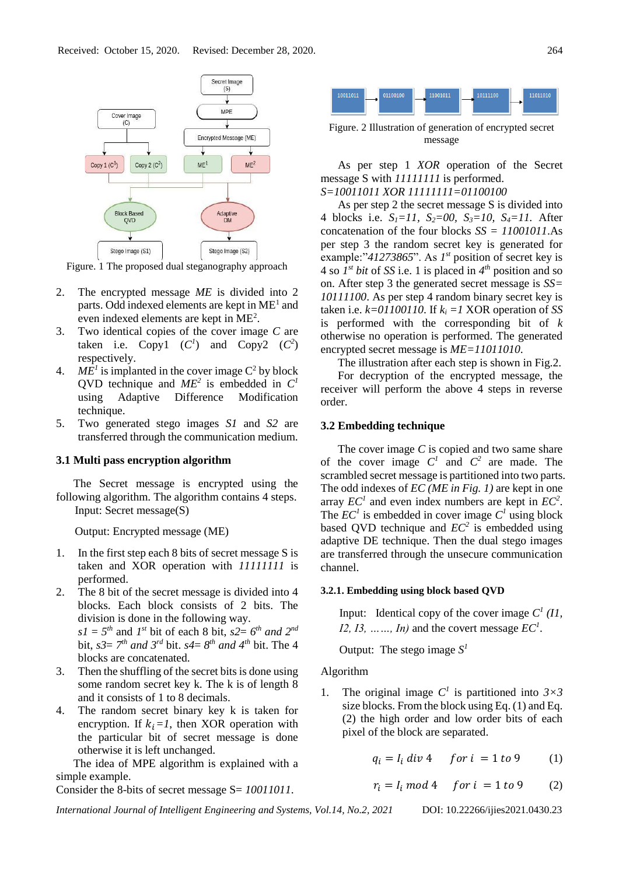

Figure. 1 The proposed dual steganography approach

- 2. The encrypted message *ME* is divided into 2 parts. Odd indexed elements are kept in ME<sup>1</sup> and even indexed elements are kept in ME<sup>2</sup>.
- 3. Two identical copies of the cover image *C* are taken i.e. Copy1  $(C^1)$  and Copy2  $(C^2)$ respectively.
- 4.  $ME<sup>1</sup>$  is implanted in the cover image  $C<sup>2</sup>$  by block QVD technique and  $ME^2$  is embedded in  $C^1$ using Adaptive Difference Modification technique.
- 5. Two generated stego images *S1* and *S2* are transferred through the communication medium.

# **3.1 Multi pass encryption algorithm**

The Secret message is encrypted using the following algorithm. The algorithm contains 4 steps. Input: Secret message(S)

Output: Encrypted message (ME)

- 1. In the first step each 8 bits of secret message S is taken and XOR operation with *11111111* is performed.
- 2. The 8 bit of the secret message is divided into 4 blocks. Each block consists of 2 bits. The division is done in the following way.  $sI = 5<sup>th</sup>$  and *I*<sup>st</sup> bit of each 8 bit,  $s2 = 6<sup>th</sup>$  *and*  $2<sup>nd</sup>$ bit,  $s3 = 7<sup>th</sup>$  *and*  $3<sup>rd</sup>$  bit.  $s4 = 8<sup>th</sup>$  *and*  $4<sup>th</sup>$  bit. The 4 blocks are concatenated.
- 3. Then the shuffling of the secret bits is done using some random secret key k. The k is of length 8 and it consists of 1 to 8 decimals.
- 4. The random secret binary key k is taken for encryption. If  $k_i = 1$ , then XOR operation with the particular bit of secret message is done otherwise it is left unchanged.

The idea of MPE algorithm is explained with a simple example.

Consider the 8-bits of secret message S= *10011011*.



Figure. 2 Illustration of generation of encrypted secret message

As per step 1 *XOR* operation of the Secret message S with *11111111* is performed. *S=10011011 XOR 11111111=01100100*

As per step 2 the secret message S is divided into 4 blocks i.e. *S1=11, S2=00, S3=10, S4=11.* After concatenation of the four blocks *SS = 11001011*.As per step 3 the random secret key is generated for example:"41273865". As  $I^{st}$  position of secret key is 4 so  $I^{st}$  *bit* of *SS* i.e. 1 is placed in  $4^{th}$  position and so on. After step 3 the generated secret message is *SS= 10111100*. As per step 4 random binary secret key is taken i.e.  $k=01100110$ . If  $k<sub>i</sub> = 1$  XOR operation of *SS* is performed with the corresponding bit of *k* otherwise no operation is performed. The generated encrypted secret message is *ME=11011010*.

The illustration after each step is shown in Fig.2.

For decryption of the encrypted message, the receiver will perform the above 4 steps in reverse order.

## **3.2 Embedding technique**

The cover image *C* is copied and two same share of the cover image  $C^1$  and  $C^2$  are made. The scrambled secret message is partitioned into two parts. The odd indexes of *EC (ME in Fig. 1)* are kept in one array  $EC<sup>1</sup>$  and even index numbers are kept in  $EC<sup>2</sup>$ . The  $EC<sup>1</sup>$  is embedded in cover image  $C<sup>1</sup>$  using block based QVD technique and  $EC^2$  is embedded using adaptive DE technique. Then the dual stego images are transferred through the unsecure communication channel.

#### **3.2.1. Embedding using block based QVD**

Input: Identical copy of the cover image  $C^1$  ( $II$ , *I2, I3, ......, In)* and the covert message  $EC<sup>1</sup>$ .

Output: The stego image  $S<sup>1</sup>$ 

Algorithm

1. The original image  $C^1$  is partitioned into  $3 \times 3$ size blocks. From the block using Eq. (1) and Eq. (2) the high order and low order bits of each pixel of the block are separated.

$$
q_i = I_i \, div\, 4 \quad \text{for } i = 1 \, to \, 9 \tag{1}
$$

$$
r_i = I_i \mod 4 \quad \text{for } i = 1 \text{ to } 9 \tag{2}
$$

*International Journal of Intelligent Engineering and Systems, Vol.14, No.2, 2021* DOI: 10.22266/ijies2021.0430.23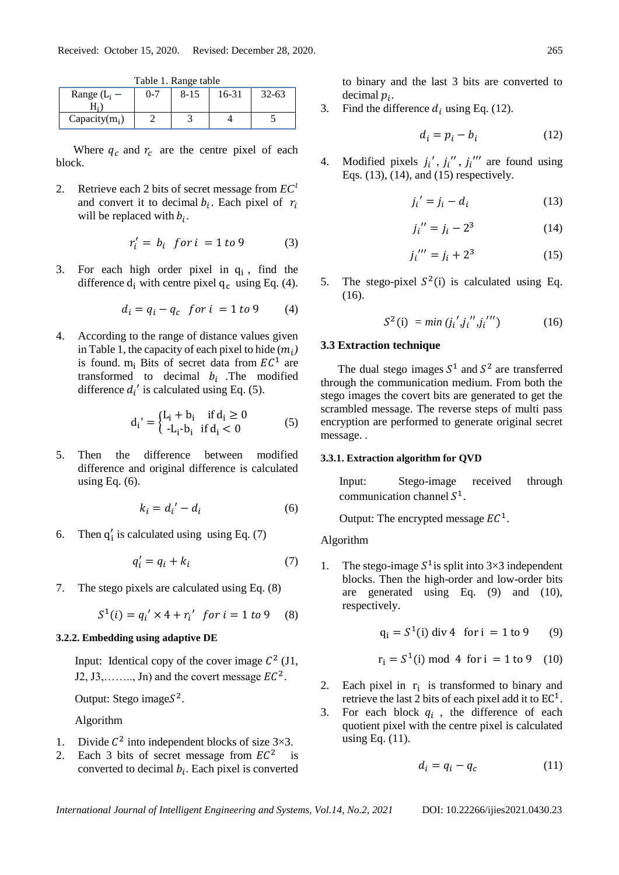|                  |         | Tuble 1. Runge tuble |       |           |
|------------------|---------|----------------------|-------|-----------|
| Range $(L_i -$   | $0 - 7$ | 8-15                 | 16-31 | $32 - 63$ |
|                  |         |                      |       |           |
| Capacity $(m_i)$ |         |                      |       |           |

Table 1. Range table

Where  $q_c$  and  $r_c$  are the centre pixel of each block.

2. Retrieve each 2 bits of secret message from *EC<sup>1</sup>* and convert it to decimal  $b_i$ . Each pixel of  $r_i$ will be replaced with  $b_i$ .

$$
r'_i = b_i \quad \text{for } i = 1 \text{ to } 9 \tag{3}
$$

3. For each high order pixel in  $q_i$ , find the difference  $d_i$  with centre pixel  $q_c$  using Eq. (4).

$$
d_i = q_i - q_c \quad \text{for } i = 1 \text{ to } 9 \tag{4}
$$

4. According to the range of distance values given in Table 1, the capacity of each pixel to hide  $(m_i)$ is found.  $m_i$  Bits of secret data from  $EC^1$  are transformed to decimal  $b_i$ . The modified difference  $d_i'$  is calculated using Eq. (5).

$$
d_i' = \begin{cases} L_i + b_i & \text{if } d_i \ge 0 \\ -L_i - b_i & \text{if } d_i < 0 \end{cases}
$$
 (5)

5. Then the difference between modified difference and original difference is calculated using Eq. (6).

$$
k_i = d_i' - d_i \tag{6}
$$

6. Then  $q'_i$  is calculated using using Eq. (7)

$$
q'_i = q_i + k_i \tag{7}
$$

7. The stego pixels are calculated using Eq. (8)

$$
S^{1}(i) = q_{i}^{\prime} \times 4 + r_{i}^{\prime} \text{ for } i = 1 \text{ to } 9 \quad (8)
$$

#### **3.2.2. Embedding using adaptive DE**

Input: Identical copy of the cover image  $C^2$  (J1, J2, J3,......., Jn) and the covert message  $EC^2$ .

Output: Stego image $S^2$ .

Algorithm

- 1. Divide  $C^2$  into independent blocks of size  $3\times 3$ .
- 2. Each 3 bits of secret message from  $EC^2$  is converted to decimal  $b_i$ . Each pixel is converted

to binary and the last 3 bits are converted to decimal  $p_i$ .

3. Find the difference  $d_i$  using Eq. (12).

$$
d_i = p_i - b_i \tag{12}
$$

4. Modified pixels  $j_i'$ ,  $j_i''$ ,  $j_i''''$  are found using Eqs. (13), (14), and (15) respectively.

$$
j_i' = j_i - d_i \tag{13}
$$

$$
j_i'' = j_i - 2^3 \tag{14}
$$

$$
j_i''' = j_i + 2^3 \tag{15}
$$

5. The stego-pixel  $S^2(i)$  is calculated using Eq. (16).

$$
S^{2}(i) = min (j_{i}', j_{i}'', j_{i}''') \qquad (16)
$$

# **3.3 Extraction technique**

The dual stego images  $S^1$  and  $S^2$  are transferred through the communication medium. From both the stego images the covert bits are generated to get the scrambled message. The reverse steps of multi pass encryption are performed to generate original secret message. *.*

## **3.3.1. Extraction algorithm for QVD**

Input: Stego-image received through communication channel  $S^1$ .

Output: The encrypted message  $EC^1$ .

Algorithm

1. The stego-image  $S^1$  is split into 3×3 independent blocks. Then the high-order and low-order bits are generated using Eq. (9) and (10), respectively.

$$
q_i = S^1(i)
$$
 div 4 for i = 1 to 9 (9)

$$
r_i = S^1(i) \text{ mod } 4 \text{ for } i = 1 \text{ to } 9 \quad (10)
$$

- 2. Each pixel in  $r_i$  is transformed to binary and retrieve the last 2 bits of each pixel add it to  $EC^1$ .
- 3. For each block  $q_i$ , the difference of each quotient pixel with the centre pixel is calculated using Eq. (11).

$$
d_i = q_i - q_c \tag{11}
$$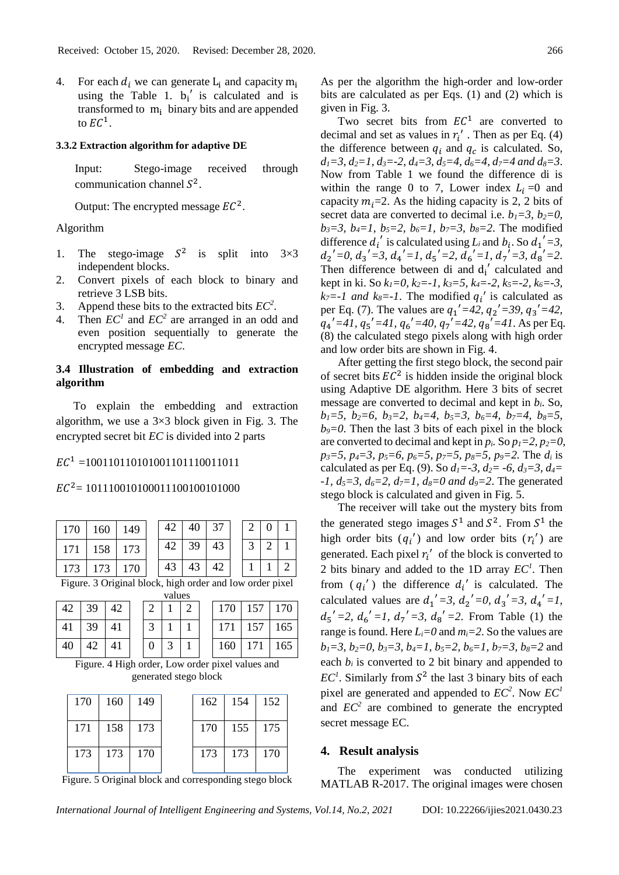4. For each  $d_i$  we can generate  $L_i$  and capacity  $m_i$ using the Table 1.  $b_i'$  is calculated and is transformed to  $m_i$  binary bits and are appended to  $EC^1$ .

# **3.3.2 Extraction algorithm for adaptive DE**

Input: Stego-image received through communication channel  $S^2$ .

Output: The encrypted message  $EC^2$ .

# Algorithm

- 1. The stego-image  $S^2$ is split into 3×3 independent blocks.
- 2. Convert pixels of each block to binary and retrieve 3 LSB bits.
- 3. Append these bits to the extracted bits  $EC^2$ .
- 4. Then  $EC<sup>1</sup>$  and  $EC<sup>2</sup>$  are arranged in an odd and even position sequentially to generate the encrypted message *EC*.

# **3.4 Illustration of embedding and extraction algorithm**

To explain the embedding and extraction algorithm, we use a  $3\times3$  block given in Fig. 3. The encrypted secret bit *EC* is divided into 2 parts

# $EC<sup>1</sup> = 100110110101001101110011011$

# $EC<sup>2</sup> = 101110010100011100100101000$

|    | 170                                                                       |    | 160 |  | 149 |                  | 42 |   | 40 | 37  |     | 2   | $\theta$       |     | 1              |
|----|---------------------------------------------------------------------------|----|-----|--|-----|------------------|----|---|----|-----|-----|-----|----------------|-----|----------------|
|    | 171                                                                       |    | 158 |  | 173 |                  | 42 |   | 39 | 43  |     | 3   | $\overline{2}$ |     | 1              |
|    | 173                                                                       |    | 173 |  | 170 |                  | 43 |   | 43 | 42  |     | 1   | 1              |     | $\overline{2}$ |
|    | Figure. 3 Original block, high order and low order pixel                  |    |     |  |     |                  |    |   |    |     |     |     |                |     |                |
|    | values                                                                    |    |     |  |     |                  |    |   |    |     |     |     |                |     |                |
|    | 42                                                                        | 39 | 42  |  |     | 2                | 1  | 2 |    |     | 170 | 157 |                |     | 170            |
| 41 |                                                                           | 39 | 41  |  |     | 3                | 1  | 1 |    |     | 171 | 157 |                |     | 165            |
|    | 40                                                                        | 42 | 41  |  |     | $\boldsymbol{0}$ | 3  | 1 |    |     | 160 | 171 |                |     | 165            |
|    | Figure. 4 High order, Low order pixel values and<br>generated stego block |    |     |  |     |                  |    |   |    |     |     |     |                |     |                |
|    | 170                                                                       |    | 160 |  |     | 149              |    |   |    | 162 | 154 |     |                | 152 |                |
|    | 171                                                                       |    | 158 |  |     | 173              |    |   |    | 170 | 155 |     |                | 175 |                |
|    | 173                                                                       |    | 173 |  |     | 170              |    |   |    | 173 | 173 |     |                | 170 |                |

Figure. 5 Original block and corresponding stego block

As per the algorithm the high-order and low-order bits are calculated as per Eqs. (1) and (2) which is given in Fig. 3.

Two secret bits from  $EC^1$  are converted to decimal and set as values in  $r_i'$ . Then as per Eq. (4) the difference between  $q_i$  and  $q_c$  is calculated. So, *d1=3*, *d2=1, d3=-2, d4=3, d5=4, d6=4, d7=4 and d8=3*. Now from Table 1 we found the difference di is within the range 0 to 7, Lower index  $L_i = 0$  and capacity  $m_i=2$ . As the hiding capacity is 2, 2 bits of secret data are converted to decimal i.e.  $b_1 = 3$ ,  $b_2 = 0$ , *b3=3, b4=1, b5=2, b6=1, b7=3, b8=2*. The modified difference  $d_i'$  is calculated using  $L_i$  and  $b_i$ . So  $d_1' = 3$ ,  $d_2' = 0$ ,  $d_3' = 3$ ,  $d_4' = 1$ ,  $d_5' = 2$ ,  $d_6' = 1$ ,  $d_7' = 3$ ,  $d_8' = 2$ . Then difference between di and  $d_i'$  calculated and kept in ki. So *k1=0, k2=-1, k3=5, k4=-2, k5=-2, k6=-3,*   $k_7$ =-1 and  $k_8$ =-1. The modified  $q_i'$  is calculated as per Eq. (7). The values are  $q_1' = 42$ ,  $q_2' = 39$ ,  $q_3' = 42$ ,  $q_4' = 41$ ,  $q_5' = 41$ ,  $q_6' = 40$ ,  $q_7' = 42$ ,  $q_8' = 41$ . As per Eq. (8) the calculated stego pixels along with high order and low order bits are shown in Fig. 4.

After getting the first stego block, the second pair of secret bits  $EC^2$  is hidden inside the original block using Adaptive DE algorithm. Here 3 bits of secret message are converted to decimal and kept in *bi*. So, *b1=5, b2=6, b3=2, b4=4, b5=3, b6=4, b7=4, b8=5,*   $b_9 = 0$ . Then the last 3 bits of each pixel in the block are converted to decimal and kept in  $p_i$ . So  $p_1 = 2$ ,  $p_2 = 0$ , *p3=5, p4=3, p5=6, p6=5, p7=5, p8=5, p9=2.* The *d<sup>i</sup>* is calculated as per Eq. (9). So  $d_1 = -3$ ,  $d_2 = -6$ ,  $d_3 = 3$ ,  $d_4 =$ *-1, d5=3, d6=2, d7=1, d8=0 and d9=2*. The generated stego block is calculated and given in Fig. 5.

The receiver will take out the mystery bits from the generated stego images  $S^1$  and  $S^2$ . From  $S^1$  the high order bits  $(q_i')$  and low order bits  $(r_i')$  are generated. Each pixel  $r_i'$  of the block is converted to 2 bits binary and added to the 1D array  $EC<sup>1</sup>$ . Then from  $(q_i')$  the difference  $d_i'$  is calculated. The calculated values are  $d_1' = 3$ ,  $d_2' = 0$ ,  $d_3' = 3$ ,  $d_4' = 1$ ,  $d_5' = 2$ ,  $d_6' = 1$ ,  $d_7' = 3$ ,  $d_8' = 2$ . From Table (1) the range is found. Here *Li=0* and *mi=2*. So the values are *b1=3, b2=0, b3=3, b4=1, b5=2, b6=1, b7=3, b8=2* and each  $b_i$  is converted to 2 bit binary and appended to  $EC<sup>1</sup>$ . Similarly from  $S<sup>2</sup>$  the last 3 binary bits of each pixel are generated and appended to  $EC^2$ . Now  $EC^1$ and  $EC<sup>2</sup>$  are combined to generate the encrypted secret message EC.

#### **4. Result analysis**

The experiment was conducted utilizing MATLAB R-2017. The original images were chosen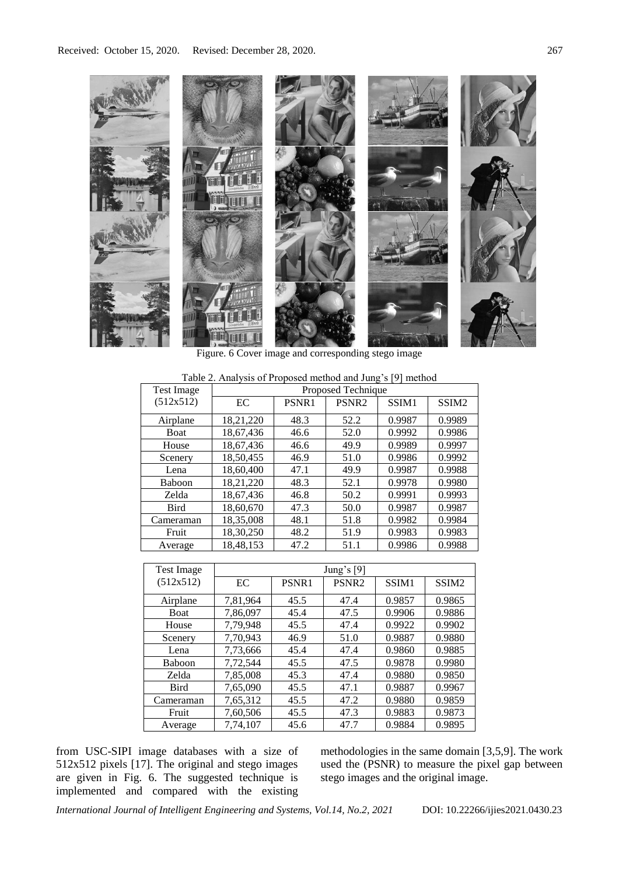

Figure. 6 Cover image and corresponding stego image

| <b>Test Image</b> | Proposed Technique |       |                   |        |                   |  |  |  |
|-------------------|--------------------|-------|-------------------|--------|-------------------|--|--|--|
| (512x512)         | EC                 | PSNR1 | PSNR <sub>2</sub> | SSIM1  | SSIM <sub>2</sub> |  |  |  |
| Airplane          | 18,21,220          | 48.3  | 52.2              | 0.9987 | 0.9989            |  |  |  |
| <b>Boat</b>       | 18,67,436          | 46.6  | 52.0              | 0.9992 | 0.9986            |  |  |  |
| House             | 18,67,436          | 46.6  | 49.9              | 0.9989 | 0.9997            |  |  |  |
| Scenery           | 18,50,455          | 46.9  | 51.0              | 0.9986 | 0.9992            |  |  |  |
| Lena              | 18,60,400          | 47.1  | 49.9              | 0.9987 | 0.9988            |  |  |  |
| Baboon            | 18,21,220          | 48.3  | 52.1              | 0.9978 | 0.9980            |  |  |  |
| Zelda             | 18,67,436          | 46.8  | 50.2              | 0.9991 | 0.9993            |  |  |  |
| <b>Bird</b>       | 18,60,670          | 47.3  | 50.0              | 0.9987 | 0.9987            |  |  |  |
| Cameraman         | 18,35,008          | 48.1  | 51.8              | 0.9982 | 0.9984            |  |  |  |
| Fruit             | 18,30,250          | 48.2  | 51.9              | 0.9983 | 0.9983            |  |  |  |
| Average           | 18,48,153          | 47.2  | 51.1              | 0.9986 | 0.9988            |  |  |  |

Table 2. Analysis of Proposed method and Jung's [9] method

| Test Image  |          |       | Jung's $[9]$      |        |                   |
|-------------|----------|-------|-------------------|--------|-------------------|
| (512x512)   | EC       | PSNR1 | PSNR <sub>2</sub> | SSIM1  | SSIM <sub>2</sub> |
| Airplane    | 7,81,964 | 45.5  | 47.4              | 0.9857 | 0.9865            |
| Boat        | 7,86,097 | 45.4  | 47.5              | 0.9906 | 0.9886            |
| House       | 7,79,948 | 45.5  | 47.4              | 0.9922 | 0.9902            |
| Scenery     | 7,70,943 | 46.9  | 51.0              | 0.9887 | 0.9880            |
| Lena        | 7,73,666 | 45.4  | 47.4              | 0.9860 | 0.9885            |
| Baboon      | 7,72,544 | 45.5  | 47.5              | 0.9878 | 0.9980            |
| Zelda       | 7,85,008 | 45.3  | 47.4              | 0.9880 | 0.9850            |
| <b>Bird</b> | 7,65,090 | 45.5  | 47.1              | 0.9887 | 0.9967            |
| Cameraman   | 7,65,312 | 45.5  | 47.2              | 0.9880 | 0.9859            |
| Fruit       | 7,60,506 | 45.5  | 47.3              | 0.9883 | 0.9873            |
| Average     | 7,74,107 | 45.6  | 47.7              | 0.9884 | 0.9895            |

from USC-SIPI image databases with a size of 512x512 pixels [17]. The original and stego images are given in Fig. 6. The suggested technique is implemented and compared with the existing

methodologies in the same domain [3,5,9]. The work used the (PSNR) to measure the pixel gap between stego images and the original image.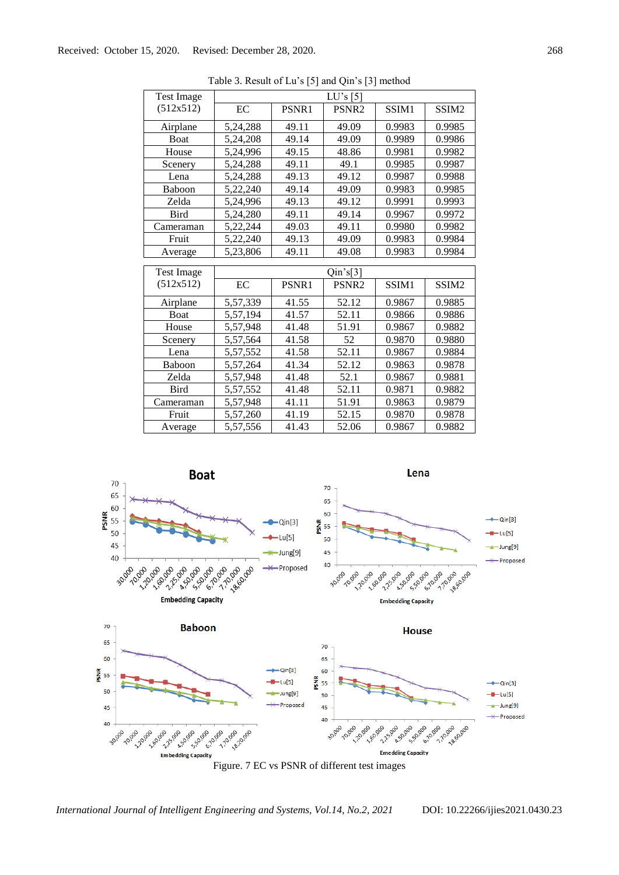| <b>Test Image</b> |          |       | LU's [5]          |        |                   |
|-------------------|----------|-------|-------------------|--------|-------------------|
| (512x512)         | EC       | PSNR1 | PSNR <sub>2</sub> | SSIM1  | SSIM <sub>2</sub> |
| Airplane          | 5,24,288 | 49.11 | 49.09             | 0.9983 | 0.9985            |
| Boat              | 5,24,208 | 49.14 | 49.09             | 0.9989 | 0.9986            |
| House             | 5,24,996 | 49.15 | 48.86             | 0.9981 | 0.9982            |
| Scenery           | 5,24,288 | 49.11 | 49.1              | 0.9985 | 0.9987            |
| Lena              | 5,24,288 | 49.13 | 49.12             | 0.9987 | 0.9988            |
| Baboon            | 5,22,240 | 49.14 | 49.09             | 0.9983 | 0.9985            |
| Zelda             | 5,24,996 | 49.13 | 49.12             | 0.9991 | 0.9993            |
| <b>Bird</b>       | 5,24,280 | 49.11 | 49.14             | 0.9967 | 0.9972            |
| Cameraman         | 5,22,244 | 49.03 | 49.11             | 0.9980 | 0.9982            |
| Fruit             | 5,22,240 | 49.13 | 49.09             | 0.9983 | 0.9984            |
| Average           | 5,23,806 | 49.11 | 49.08             | 0.9983 | 0.9984            |
|                   |          |       |                   |        |                   |
|                   |          |       |                   |        |                   |
| <b>Test Image</b> |          |       | $Qin$ 's[3]       |        |                   |
| (512x512)         | EC       | PSNR1 | PSNR <sub>2</sub> | SSIM1  | SSIM <sub>2</sub> |
| Airplane          | 5,57,339 | 41.55 | 52.12             | 0.9867 | 0.9885            |
| Boat              | 5,57,194 | 41.57 | 52.11             | 0.9866 | 0.9886            |
| House             | 5,57,948 | 41.48 | 51.91             | 0.9867 | 0.9882            |
| Scenery           | 5,57,564 | 41.58 | 52                | 0.9870 | 0.9880            |
| Lena              | 5,57,552 | 41.58 | 52.11             | 0.9867 | 0.9884            |
| Baboon            | 5,57,264 | 41.34 | 52.12             | 0.9863 | 0.9878            |
| Zelda             | 5,57,948 | 41.48 | 52.1              | 0.9867 | 0.9881            |
| <b>Bird</b>       | 5,57,552 | 41.48 | 52.11             | 0.9871 | 0.9882            |
| Cameraman         | 5,57,948 | 41.11 | 51.91             | 0.9863 | 0.9879            |
| Fruit             | 5,57,260 | 41.19 | 52.15             | 0.9870 | 0.9878            |

Table 3. Result of Lu's [5] and Qin's [3] method



Figure. 7 EC vs PSNR of different test images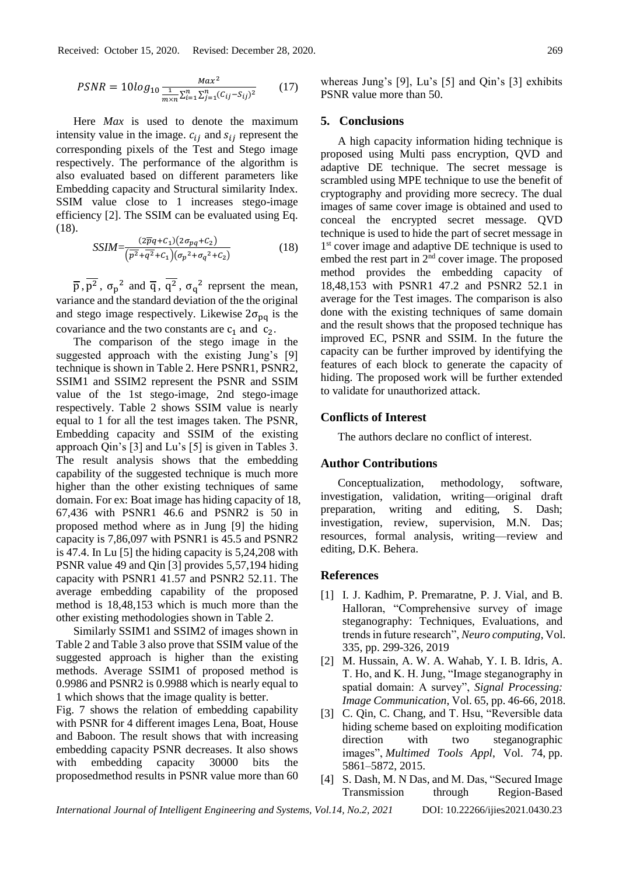$$
PSNR = 10log_{10} \frac{Max^2}{\frac{1}{m \times n} \sum_{i=1}^n \sum_{j=1}^n (C_{ij} - S_{ij})^2}
$$
 (17)

Here *Max* is used to denote the maximum intensity value in the image.  $c_{ij}$  and  $s_{ij}$  represent the corresponding pixels of the Test and Stego image respectively. The performance of the algorithm is also evaluated based on different parameters like Embedding capacity and Structural similarity Index. SSIM value close to 1 increases stego-image efficiency [2]. The SSIM can be evaluated using Eq. (18).

$$
SSIM = \frac{(2\overline{p}q + C_1)(2\sigma_{pq} + C_2)}{\left(\overline{p^2} + \overline{q^2} + C_1\right)\left(\sigma_p^2 + \sigma_q^2 + C_2\right)}\tag{18}
$$

 $\overline{p}$ ,  $\overline{p^2}$ ,  $\sigma_p^2$  and  $\overline{q}$ ,  $\overline{q^2}$ ,  $\sigma_q^2$  reprsent the mean, variance and the standard deviation of the the original and stego image respectively. Likewise  $2\sigma_{pq}$  is the covariance and the two constants are  $c_1$  and  $c_2$ .

The comparison of the stego image in the suggested approach with the existing Jung's [9] technique is shown in Table 2. Here PSNR1, PSNR2, SSIM1 and SSIM2 represent the PSNR and SSIM value of the 1st stego-image, 2nd stego-image respectively. Table 2 shows SSIM value is nearly equal to 1 for all the test images taken. The PSNR, Embedding capacity and SSIM of the existing approach Qin's [3] and Lu's [5] is given in Tables 3. The result analysis shows that the embedding capability of the suggested technique is much more higher than the other existing techniques of same domain. For ex: Boat image has hiding capacity of 18, 67,436 with PSNR1 46.6 and PSNR2 is 50 in proposed method where as in Jung [9] the hiding capacity is 7,86,097 with PSNR1 is 45.5 and PSNR2 is 47.4. In Lu [5] the hiding capacity is 5,24,208 with PSNR value 49 and Qin [3] provides 5,57,194 hiding capacity with PSNR1 41.57 and PSNR2 52.11. The average embedding capability of the proposed method is 18,48,153 which is much more than the other existing methodologies shown in Table 2.

Similarly SSIM1 and SSIM2 of images shown in Table 2 and Table 3 also prove that SSIM value of the suggested approach is higher than the existing methods. Average SSIM1 of proposed method is 0.9986 and PSNR2 is 0.9988 which is nearly equal to 1 which shows that the image quality is better.

Fig. 7 shows the relation of embedding capability with PSNR for 4 different images Lena, Boat, House and Baboon. The result shows that with increasing embedding capacity PSNR decreases. It also shows with embedding capacity 30000 bits the proposedmethod results in PSNR value more than 60

whereas Jung's [9], Lu's [5] and Qin's [3] exhibits PSNR value more than 50.

#### **5. Conclusions**

A high capacity information hiding technique is proposed using Multi pass encryption, QVD and adaptive DE technique. The secret message is scrambled using MPE technique to use the benefit of cryptography and providing more secrecy. The dual images of same cover image is obtained and used to conceal the encrypted secret message. QVD technique is used to hide the part of secret message in 1 st cover image and adaptive DE technique is used to embed the rest part in  $2<sup>nd</sup>$  cover image. The proposed method provides the embedding capacity of 18,48,153 with PSNR1 47.2 and PSNR2 52.1 in average for the Test images. The comparison is also done with the existing techniques of same domain and the result shows that the proposed technique has improved EC, PSNR and SSIM. In the future the capacity can be further improved by identifying the features of each block to generate the capacity of hiding. The proposed work will be further extended to validate for unauthorized attack.

### **Conflicts of Interest**

The authors declare no conflict of interest.

## **Author Contributions**

Conceptualization, methodology, software, investigation, validation, writing—original draft preparation, writing and editing, S. Dash; investigation, review, supervision, M.N. Das; resources, formal analysis, writing—review and editing, D.K. Behera.

# **References**

- [1] I. J. Kadhim, P. Premaratne, P. J. Vial, and B. Halloran, "Comprehensive survey of image steganography: Techniques, Evaluations, and trends in future research", *Neuro computing*, Vol. 335, pp. 299-326, 2019
- [2] M. Hussain, A. W. A. Wahab, Y. I. B. Idris, A. T. Ho, and K. H. Jung, "Image steganography in spatial domain: A survey", *Signal Processing: Image Communication*, Vol. 65, pp. 46-66, 2018.
- [3] C. Qin, C. Chang, and T. Hsu, "Reversible data hiding scheme based on exploiting modification direction with two steganographic images", *Multimed Tools Appl*, Vol. 74, pp. 5861–5872, 2015.
- [4] S. Dash, M. N Das, and M. Das, "Secured Image Transmission through Region-Based